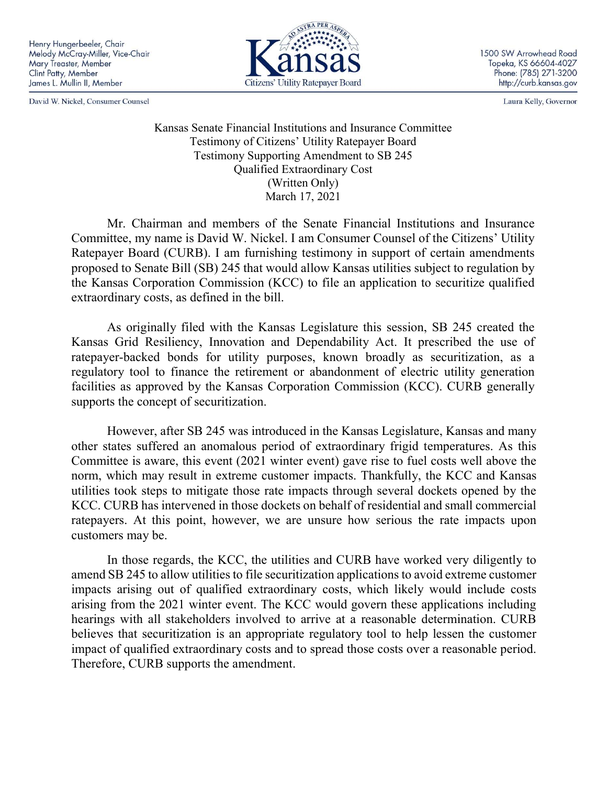David W. Nickel, Consumer Counsel



1500 SW Arrowhead Road Topeka, KS 66604-4027 Phone: (785) 271-3200 http://curb.kansas.gov

Laura Kelly, Governor

Kansas Senate Financial Institutions and Insurance Committee Testimony of Citizens' Utility Ratepayer Board Testimony Supporting Amendment to SB 245 Qualified Extraordinary Cost (Written Only) March 17, 2021

Mr. Chairman and members of the Senate Financial Institutions and Insurance Committee, my name is David W. Nickel. I am Consumer Counsel of the Citizens' Utility Ratepayer Board (CURB). I am furnishing testimony in support of certain amendments proposed to Senate Bill (SB) 245 that would allow Kansas utilities subject to regulation by the Kansas Corporation Commission (KCC) to file an application to securitize qualified extraordinary costs, as defined in the bill.

As originally filed with the Kansas Legislature this session, SB 245 created the Kansas Grid Resiliency, Innovation and Dependability Act. It prescribed the use of ratepayer-backed bonds for utility purposes, known broadly as securitization, as a regulatory tool to finance the retirement or abandonment of electric utility generation facilities as approved by the Kansas Corporation Commission (KCC). CURB generally supports the concept of securitization.

However, after SB 245 was introduced in the Kansas Legislature, Kansas and many other states suffered an anomalous period of extraordinary frigid temperatures. As this Committee is aware, this event (2021 winter event) gave rise to fuel costs well above the norm, which may result in extreme customer impacts. Thankfully, the KCC and Kansas utilities took steps to mitigate those rate impacts through several dockets opened by the KCC. CURB has intervened in those dockets on behalf of residential and small commercial ratepayers. At this point, however, we are unsure how serious the rate impacts upon customers may be.

In those regards, the KCC, the utilities and CURB have worked very diligently to amend SB 245 to allow utilities to file securitization applications to avoid extreme customer impacts arising out of qualified extraordinary costs, which likely would include costs arising from the 2021 winter event. The KCC would govern these applications including hearings with all stakeholders involved to arrive at a reasonable determination. CURB believes that securitization is an appropriate regulatory tool to help lessen the customer impact of qualified extraordinary costs and to spread those costs over a reasonable period. Therefore, CURB supports the amendment.